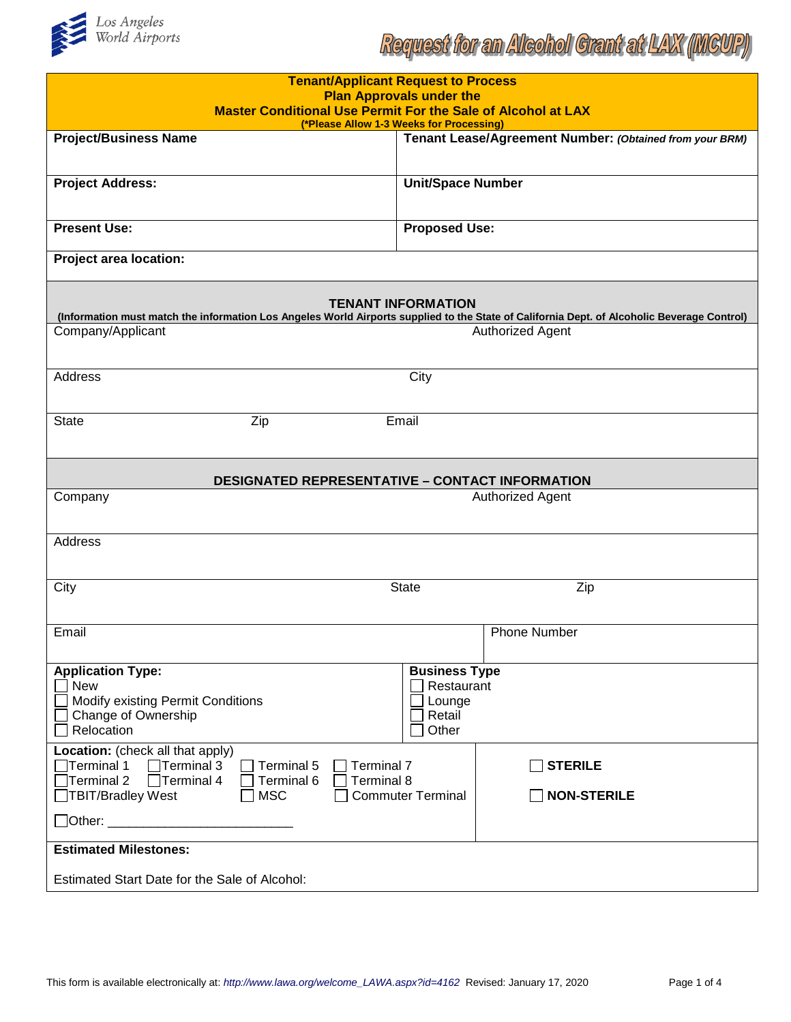

| <b>Tenant/Applicant Request to Process</b><br><b>Plan Approvals under the</b><br>Master Conditional Use Permit For the Sale of Alcohol at LAX<br>(*Please Allow 1-3 Weeks for Processing)   |                                                         |  |
|---------------------------------------------------------------------------------------------------------------------------------------------------------------------------------------------|---------------------------------------------------------|--|
| <b>Project/Business Name</b>                                                                                                                                                                | Tenant Lease/Agreement Number: (Obtained from your BRM) |  |
|                                                                                                                                                                                             |                                                         |  |
| <b>Project Address:</b>                                                                                                                                                                     | <b>Unit/Space Number</b>                                |  |
|                                                                                                                                                                                             |                                                         |  |
| <b>Present Use:</b>                                                                                                                                                                         | <b>Proposed Use:</b>                                    |  |
| <b>Project area location:</b>                                                                                                                                                               |                                                         |  |
| <b>TENANT INFORMATION</b>                                                                                                                                                                   |                                                         |  |
| (Information must match the information Los Angeles World Airports supplied to the State of California Dept. of Alcoholic Beverage Control)<br>Company/Applicant<br><b>Authorized Agent</b> |                                                         |  |
|                                                                                                                                                                                             |                                                         |  |
| Address                                                                                                                                                                                     | City                                                    |  |
|                                                                                                                                                                                             |                                                         |  |
| <b>State</b><br>Zip                                                                                                                                                                         | Email                                                   |  |
| <b>DESIGNATED REPRESENTATIVE - CONTACT INFORMATION</b>                                                                                                                                      |                                                         |  |
| Company<br><b>Authorized Agent</b>                                                                                                                                                          |                                                         |  |
| <b>Address</b>                                                                                                                                                                              |                                                         |  |
| City                                                                                                                                                                                        | Zip<br><b>State</b>                                     |  |
| Email                                                                                                                                                                                       | <b>Phone Number</b>                                     |  |
| <b>Application Type:</b>                                                                                                                                                                    | <b>Business Type</b>                                    |  |
| <b>New</b>                                                                                                                                                                                  | Restaurant<br>Lounge                                    |  |
| <b>Modify existing Permit Conditions</b><br>Change of Ownership                                                                                                                             | Retail                                                  |  |
| Relocation                                                                                                                                                                                  | Other                                                   |  |
| Location: (check all that apply)                                                                                                                                                            |                                                         |  |
| $\Box$ Terminal 1<br>$\Box$ Terminal 3<br>$\Box$ Terminal 5<br>Terminal 7<br>$\Box$ Terminal 2<br>$\Box$ Terminal 4<br>Terminal 6<br>Terminal 8                                             | <b>STERILE</b>                                          |  |
| □TBIT/Bradley West<br>$\Box$ MSC                                                                                                                                                            | <b>NON-STERILE</b><br><b>Commuter Terminal</b>          |  |
|                                                                                                                                                                                             |                                                         |  |
| <b>Estimated Milestones:</b>                                                                                                                                                                |                                                         |  |
| Estimated Start Date for the Sale of Alcohol:                                                                                                                                               |                                                         |  |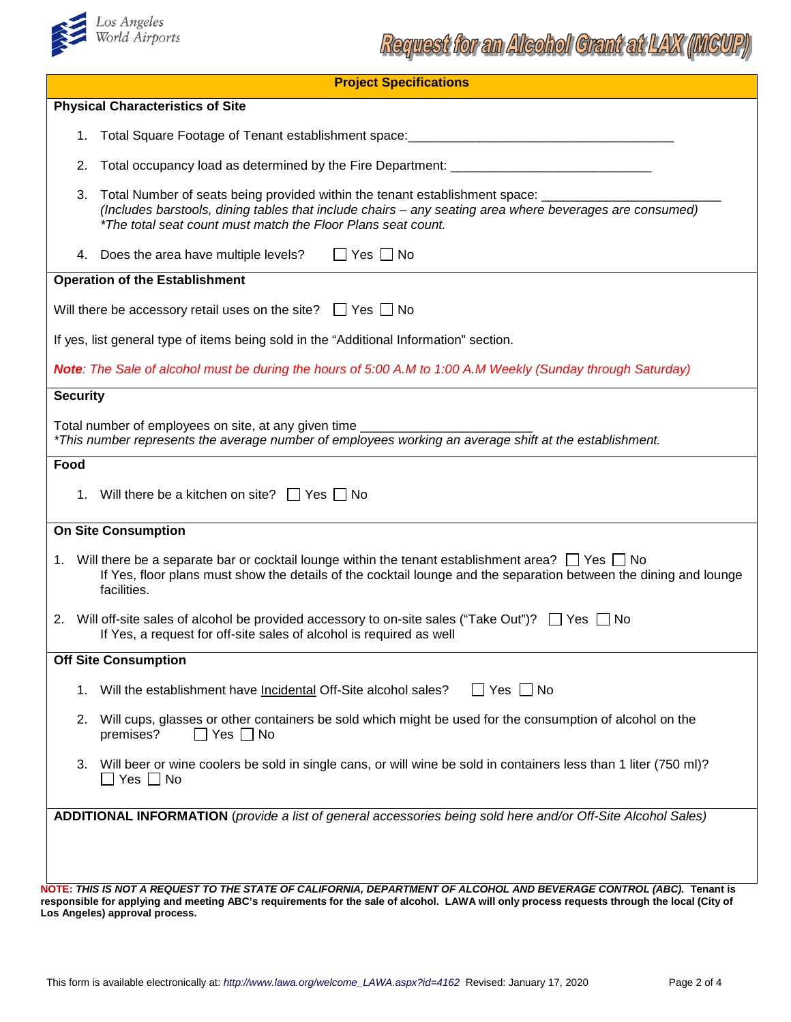

| <b>Project Specifications</b>                                                                                                                                                                                                                                          |  |
|------------------------------------------------------------------------------------------------------------------------------------------------------------------------------------------------------------------------------------------------------------------------|--|
| <b>Physical Characteristics of Site</b>                                                                                                                                                                                                                                |  |
| 1.                                                                                                                                                                                                                                                                     |  |
| 2.<br>Total occupancy load as determined by the Fire Department: ______________________                                                                                                                                                                                |  |
| Total Number of seats being provided within the tenant establishment space: _________<br>3.<br>(Includes barstools, dining tables that include chairs - any seating area where beverages are consumed)<br>*The total seat count must match the Floor Plans seat count. |  |
| 4. Does the area have multiple levels?<br>$\Box$ Yes $\Box$ No                                                                                                                                                                                                         |  |
| <b>Operation of the Establishment</b>                                                                                                                                                                                                                                  |  |
| Will there be accessory retail uses on the site? $\Box$ Yes $\Box$ No                                                                                                                                                                                                  |  |
| If yes, list general type of items being sold in the "Additional Information" section.                                                                                                                                                                                 |  |
| <b>Note:</b> The Sale of alcohol must be during the hours of 5:00 A.M to 1:00 A.M Weekly (Sunday through Saturday)                                                                                                                                                     |  |
| <b>Security</b>                                                                                                                                                                                                                                                        |  |
| Total number of employees on site, at any given time __________<br>*This number represents the average number of employees working an average shift at the establishment.                                                                                              |  |
| Food                                                                                                                                                                                                                                                                   |  |
| 1. Will there be a kitchen on site? $\Box$ Yes $\Box$ No                                                                                                                                                                                                               |  |
| <b>On Site Consumption</b>                                                                                                                                                                                                                                             |  |
| 1. Will there be a separate bar or cocktail lounge within the tenant establishment area? $\Box$ Yes $\Box$ No<br>If Yes, floor plans must show the details of the cocktail lounge and the separation between the dining and lounge<br>facilities.                      |  |
| 2. Will off-site sales of alcohol be provided accessory to on-site sales ("Take Out")? $\Box$ Yes $\Box$ No<br>If Yes, a request for off-site sales of alcohol is required as well                                                                                     |  |
| <b>Off Site Consumption</b>                                                                                                                                                                                                                                            |  |
| $\Box$ Yes $\Box$ No<br>Will the establishment have Incidental Off-Site alcohol sales?<br>1.                                                                                                                                                                           |  |
| Will cups, glasses or other containers be sold which might be used for the consumption of alcohol on the<br>2.<br>premises?<br>$\Box$ Yes $\Box$ No                                                                                                                    |  |
| Will beer or wine coolers be sold in single cans, or will wine be sold in containers less than 1 liter (750 ml)?<br>3.<br>$\Box$ Yes $\Box$ No                                                                                                                         |  |
| ADDITIONAL INFORMATION (provide a list of general accessories being sold here and/or Off-Site Alcohol Sales)                                                                                                                                                           |  |
| NOTE: THIS IS NOT A REQUEST TO THE STATE OF CALIFORNIA, DEPARTMENT OF ALCOHOL AND BEVERAGE CONTROL (ABC). Tenant is                                                                                                                                                    |  |

**responsible for applying and meeting ABC's requirements for the sale of alcohol. LAWA will only process requests through the local (City of Los Angeles) approval process.**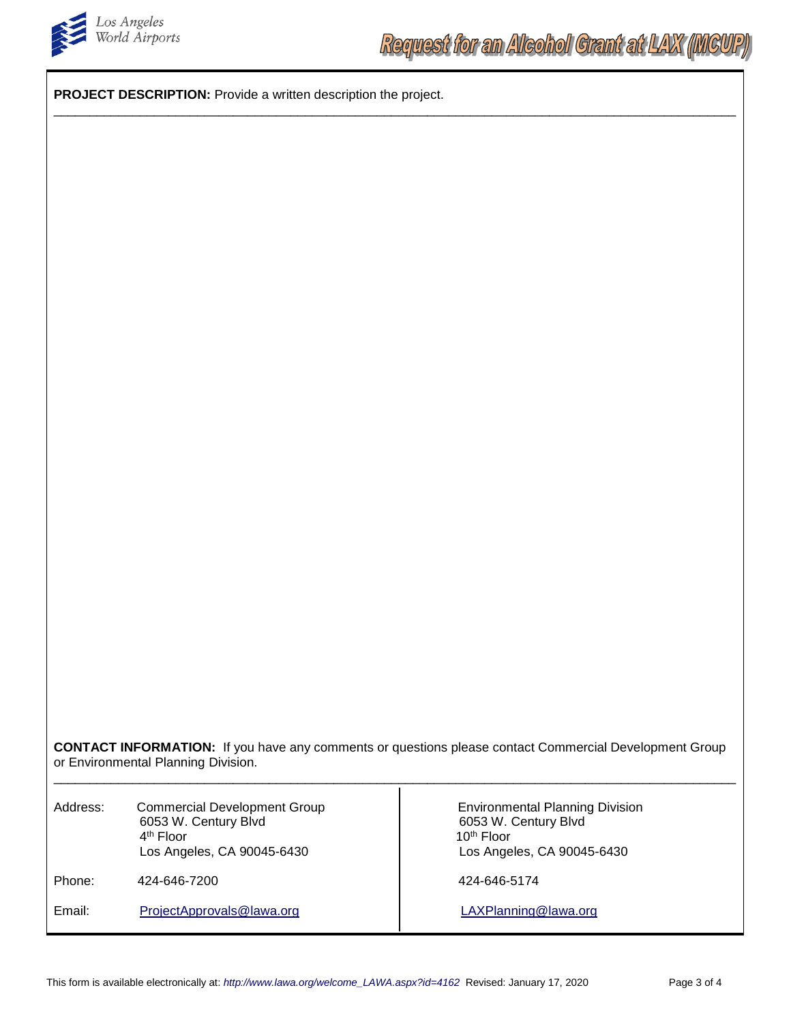

**PROJECT DESCRIPTION:** Provide a written description the project.

**CONTACT INFORMATION:** If you have any comments or questions please contact Commercial Development Group or Environmental Planning Division. \_\_\_\_\_\_\_\_\_\_\_\_\_\_\_\_\_\_\_\_\_\_\_\_\_\_\_\_\_\_\_\_\_\_\_\_\_\_\_\_\_\_\_\_\_\_\_\_\_\_\_\_\_\_\_\_\_\_\_\_\_\_\_\_\_\_\_\_\_\_\_\_\_\_\_\_\_\_\_\_\_\_\_\_\_\_\_\_\_\_\_\_\_\_\_ Address: Commercial Development Group **Environmental Planning Division** 6053 W. Century Blvd<br>
4<sup>th</sup> Floor<br>
10<sup>th</sup> Floor 4<sup>th</sup> Floor 10<sup>th</sup> Floor 10<sup>th</sup> Floor 2.5 Angeles, CA 90045-6430 Los Angeles, CA 90045-6430

\_\_\_\_\_\_\_\_\_\_\_\_\_\_\_\_\_\_\_\_\_\_\_\_\_\_\_\_\_\_\_\_\_\_\_\_\_\_\_\_\_\_\_\_\_\_\_\_\_\_\_\_\_\_\_\_\_\_\_\_\_\_\_\_\_\_\_\_\_\_\_\_\_\_\_\_\_\_\_\_\_\_\_\_\_\_\_\_\_\_\_\_\_\_\_

Phone: 424-646-7200 424-646-7200 424-646-5174

Email: [ProjectApprovals@lawa.org](mailto:ProjectApprovals@lawa.org) ProjectApprovals@lawa.org [LAXPlanning@lawa.org](mailto:LAXPlanning@lawa.org)